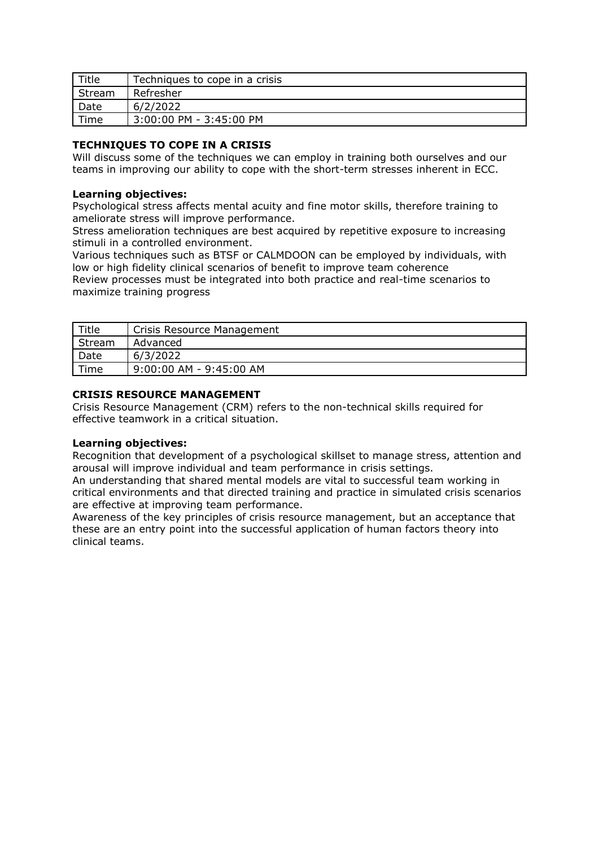| Title  | Techniques to cope in a crisis |
|--------|--------------------------------|
| Stream | Refresher                      |
| Date   | 6/2/2022                       |
| Time   | 3:00:00 PM - 3:45:00 PM        |

## **TECHNIQUES TO COPE IN A CRISIS**

Will discuss some of the techniques we can employ in training both ourselves and our teams in improving our ability to cope with the short-term stresses inherent in ECC.

#### **Learning objectives:**

Psychological stress affects mental acuity and fine motor skills, therefore training to ameliorate stress will improve performance.

Stress amelioration techniques are best acquired by repetitive exposure to increasing stimuli in a controlled environment.

Various techniques such as BTSF or CALMDOON can be employed by individuals, with low or high fidelity clinical scenarios of benefit to improve team coherence

Review processes must be integrated into both practice and real-time scenarios to maximize training progress

| Title  | Crisis Resource Management |
|--------|----------------------------|
| Stream | Advanced                   |
| Date   | 6/3/2022                   |
| Time   | 9:00:00 AM - 9:45:00 AM    |

# **CRISIS RESOURCE MANAGEMENT**

Crisis Resource Management (CRM) refers to the non-technical skills required for effective teamwork in a critical situation.

## **Learning objectives:**

Recognition that development of a psychological skillset to manage stress, attention and arousal will improve individual and team performance in crisis settings.

An understanding that shared mental models are vital to successful team working in critical environments and that directed training and practice in simulated crisis scenarios are effective at improving team performance.

Awareness of the key principles of crisis resource management, but an acceptance that these are an entry point into the successful application of human factors theory into clinical teams.